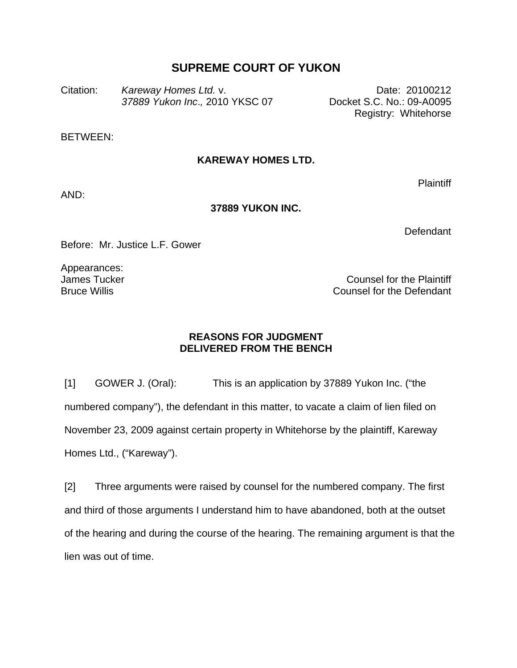## **SUPREME COURT OF YUKON**

Citation: *Kareway Homes Ltd.* v. **Example 20100212** Date: 20100212 *37889 Yukon Inc*.*,* 2010 YKSC 07 Docket S.C. No.: 09-A0095

Registry: Whitehorse

BETWEEN:

## **KAREWAY HOMES LTD.**

AND:

## **37889 YUKON INC.**

**Defendant** 

Plaintiff

Before: Mr. Justice L.F. Gower

Appearances: James Tucker Bruce Willis

Counsel for the Plaintiff Counsel for the Defendant

## **REASONS FOR JUDGMENT DELIVERED FROM THE BENCH**

[1] GOWER J. (Oral): This is an application by 37889 Yukon Inc. ("the numbered company"), the defendant in this matter, to vacate a claim of lien filed on November 23, 2009 against certain property in Whitehorse by the plaintiff, Kareway Homes Ltd., ("Kareway").

[2] Three arguments were raised by counsel for the numbered company. The first and third of those arguments I understand him to have abandoned, both at the outset of the hearing and during the course of the hearing. The remaining argument is that the lien was out of time.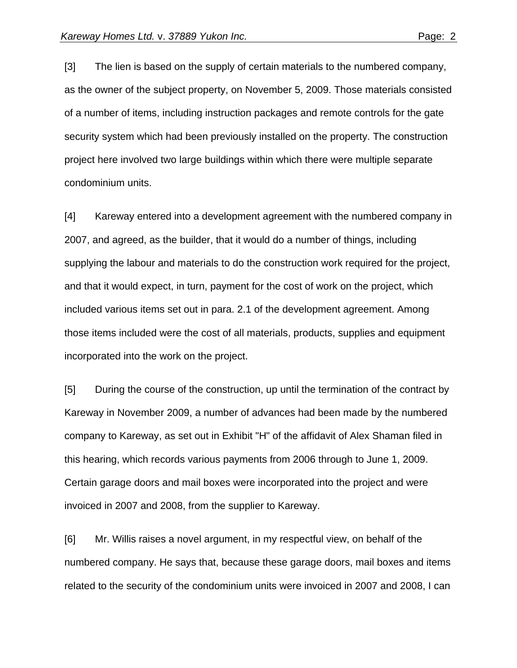[3] The lien is based on the supply of certain materials to the numbered company, as the owner of the subject property, on November 5, 2009. Those materials consisted of a number of items, including instruction packages and remote controls for the gate security system which had been previously installed on the property. The construction project here involved two large buildings within which there were multiple separate condominium units.

[4] Kareway entered into a development agreement with the numbered company in 2007, and agreed, as the builder, that it would do a number of things, including supplying the labour and materials to do the construction work required for the project, and that it would expect, in turn, payment for the cost of work on the project, which included various items set out in para. 2.1 of the development agreement. Among those items included were the cost of all materials, products, supplies and equipment incorporated into the work on the project.

[5] During the course of the construction, up until the termination of the contract by Kareway in November 2009, a number of advances had been made by the numbered company to Kareway, as set out in Exhibit "H" of the affidavit of Alex Shaman filed in this hearing, which records various payments from 2006 through to June 1, 2009. Certain garage doors and mail boxes were incorporated into the project and were invoiced in 2007 and 2008, from the supplier to Kareway.

[6] Mr. Willis raises a novel argument, in my respectful view, on behalf of the numbered company. He says that, because these garage doors, mail boxes and items related to the security of the condominium units were invoiced in 2007 and 2008, I can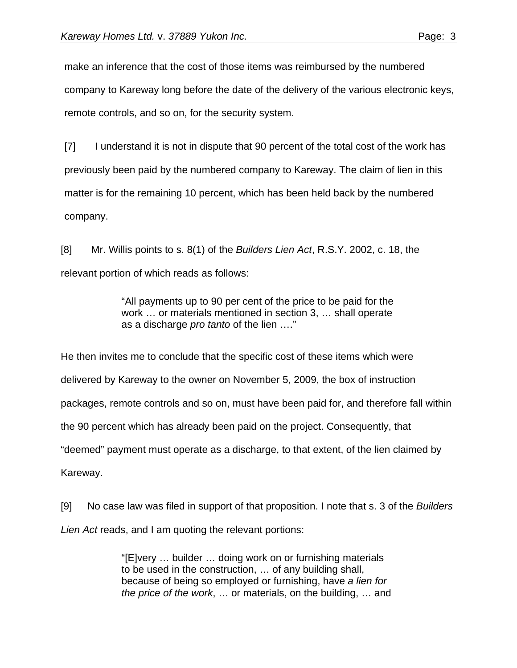make an inference that the cost of those items was reimbursed by the numbered company to Kareway long before the date of the delivery of the various electronic keys, remote controls, and so on, for the security system.

[7] I understand it is not in dispute that 90 percent of the total cost of the work has previously been paid by the numbered company to Kareway. The claim of lien in this matter is for the remaining 10 percent, which has been held back by the numbered company.

[8] Mr. Willis points to s. 8(1) of the *Builders Lien Act*, R.S.Y. 2002, c. 18, the relevant portion of which reads as follows:

> "All payments up to 90 per cent of the price to be paid for the work … or materials mentioned in section 3, … shall operate as a discharge *pro tanto* of the lien …."

He then invites me to conclude that the specific cost of these items which were delivered by Kareway to the owner on November 5, 2009, the box of instruction packages, remote controls and so on, must have been paid for, and therefore fall within the 90 percent which has already been paid on the project. Consequently, that "deemed" payment must operate as a discharge, to that extent, of the lien claimed by Kareway.

[9] No case law was filed in support of that proposition. I note that s. 3 of the *Builders Lien Act* reads, and I am quoting the relevant portions:

> "[E]very … builder … doing work on or furnishing materials to be used in the construction, … of any building shall, because of being so employed or furnishing, have *a lien for the price of the work*, … or materials, on the building, … and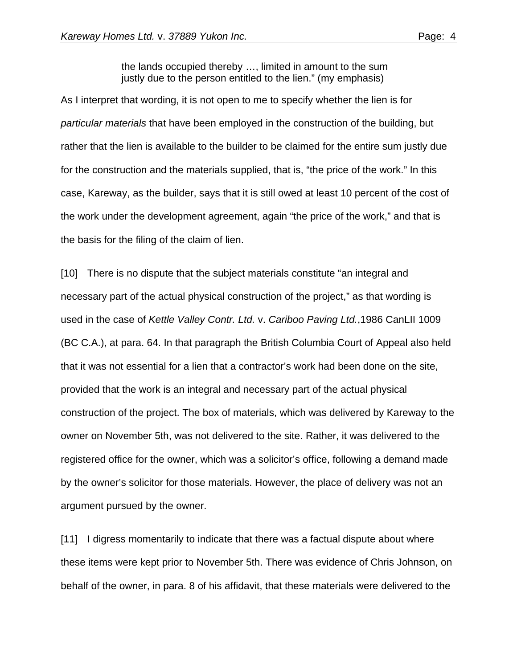the lands occupied thereby …, limited in amount to the sum justly due to the person entitled to the lien." (my emphasis)

As I interpret that wording, it is not open to me to specify whether the lien is for *particular materials* that have been employed in the construction of the building, but rather that the lien is available to the builder to be claimed for the entire sum justly due for the construction and the materials supplied, that is, "the price of the work." In this case, Kareway, as the builder, says that it is still owed at least 10 percent of the cost of the work under the development agreement, again "the price of the work," and that is the basis for the filing of the claim of lien.

[10] There is no dispute that the subject materials constitute "an integral and necessary part of the actual physical construction of the project," as that wording is used in the case of *Kettle Valley Contr. Ltd.* v. *Cariboo Paving Ltd.*,1986 CanLII 1009 (BC C.A.), at para. 64. In that paragraph the British Columbia Court of Appeal also held that it was not essential for a lien that a contractor's work had been done on the site, provided that the work is an integral and necessary part of the actual physical construction of the project. The box of materials, which was delivered by Kareway to the owner on November 5th, was not delivered to the site. Rather, it was delivered to the registered office for the owner, which was a solicitor's office, following a demand made by the owner's solicitor for those materials. However, the place of delivery was not an argument pursued by the owner.

[11] I digress momentarily to indicate that there was a factual dispute about where these items were kept prior to November 5th. There was evidence of Chris Johnson, on behalf of the owner, in para. 8 of his affidavit, that these materials were delivered to the